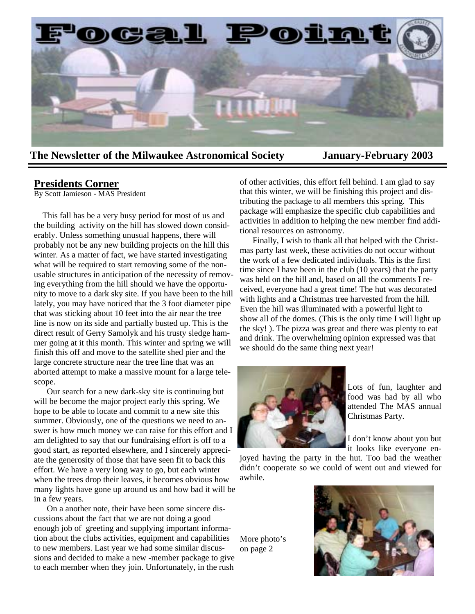

**The Newsletter of the Milwaukee Astronomical Society January-February 2003** 

## **Presidents Corner**

By Scott Jamieson - MAS President

 This fall has be a very busy period for most of us and the building activity on the hill has slowed down considerably. Unless something unusual happens, there will probably not be any new building projects on the hill this winter. As a matter of fact, we have started investigating what will be required to start removing some of the nonusable structures in anticipation of the necessity of removing everything from the hill should we have the opportunity to move to a dark sky site. If you have been to the hill lately, you may have noticed that the 3 foot diameter pipe that was sticking about 10 feet into the air near the tree line is now on its side and partially busted up. This is the direct result of Gerry Samolyk and his trusty sledge hammer going at it this month. This winter and spring we will finish this off and move to the satellite shed pier and the large concrete structure near the tree line that was an aborted attempt to make a massive mount for a large telescope.

 Our search for a new dark-sky site is continuing but will be become the major project early this spring. We hope to be able to locate and commit to a new site this summer. Obviously, one of the questions we need to answer is how much money we can raise for this effort and I am delighted to say that our fundraising effort is off to a good start, as reported elsewhere, and I sincerely appreciate the generosity of those that have seen fit to back this effort. We have a very long way to go, but each winter when the trees drop their leaves, it becomes obvious how many lights have gone up around us and how bad it will be in a few years.

 On a another note, their have been some sincere discussions about the fact that we are not doing a good enough job of greeting and supplying important information about the clubs activities, equipment and capabilities to new members. Last year we had some similar discussions and decided to make a new -member package to give to each member when they join. Unfortunately, in the rush

of other activities, this effort fell behind. I am glad to say that this winter, we will be finishing this project and distributing the package to all members this spring. This package will emphasize the specific club capabilities and activities in addition to helping the new member find additional resources on astronomy.

 Finally, I wish to thank all that helped with the Christmas party last week, these activities do not occur without the work of a few dedicated individuals. This is the first time since I have been in the club (10 years) that the party was held on the hill and, based on all the comments I received, everyone had a great time! The hut was decorated with lights and a Christmas tree harvested from the hill. Even the hill was illuminated with a powerful light to show all of the domes. (This is the only time I will light up the sky! ). The pizza was great and there was plenty to eat and drink. The overwhelming opinion expressed was that we should do the same thing next year!



Lots of fun, laughter and food was had by all who attended The MAS annual Christmas Party.

I don't know about you but it looks like everyone en-

joyed having the party in the hut. Too bad the weather didn't cooperate so we could of went out and viewed for awhile.

More photo's on page 2

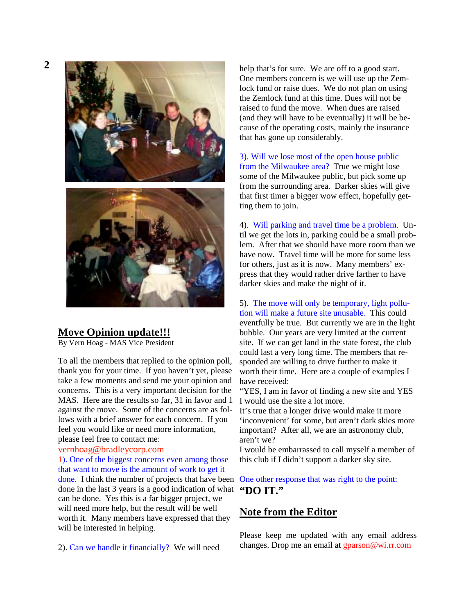# **Move Opinion update!!!**

By Vern Hoag - MAS Vice President

To all the members that replied to the opinion poll, thank you for your time. If you haven't yet, please take a few moments and send me your opinion and concerns. This is a very important decision for the MAS. Here are the results so far, 31 in favor and 1 against the move. Some of the concerns are as follows with a brief answer for each concern. If you feel you would like or need more information, please feel free to contact me:

#### vernhoag@bradleycorp.com

1). One of the biggest concerns even among those that want to move is the amount of work to get it done. I think the number of projects that have been One other response that was right to the point: done in the last 3 years is a good indication of what **"DO IT."**  can be done. Yes this is a far bigger project, we will need more help, but the result will be well worth it. Many members have expressed that they will be interested in helping.

2). Can we handle it financially? We will need

help that's for sure. We are off to a good start. One members concern is we will use up the Zemlock fund or raise dues. We do not plan on using the Zemlock fund at this time. Dues will not be raised to fund the move. When dues are raised (and they will have to be eventually) it will be because of the operating costs, mainly the insurance that has gone up considerably.

3). Will we lose most of the open house public from the Milwaukee area? True we might lose some of the Milwaukee public, but pick some up from the surrounding area. Darker skies will give that first timer a bigger wow effect, hopefully getting them to join.

4). Will parking and travel time be a problem. Until we get the lots in, parking could be a small problem. After that we should have more room than we have now. Travel time will be more for some less for others, just as it is now. Many members' express that they would rather drive farther to have darker skies and make the night of it.

# 5). The move will only be temporary, light pollution will make a future site unusable. This could

eventfully be true. But currently we are in the light bubble. Our years are very limited at the current site. If we can get land in the state forest, the club could last a very long time. The members that responded are willing to drive further to make it worth their time. Here are a couple of examples I have received:

"YES, I am in favor of finding a new site and YES I would use the site a lot more.

It's true that a longer drive would make it more 'inconvenient' for some, but aren't dark skies more important? After all, we are an astronomy club, aren't we?

I would be embarrassed to call myself a member of this club if I didn't support a darker sky site.

# **Note from the Editor**

Please keep me updated with any email address changes. Drop me an email at gparson@wi.rr.com

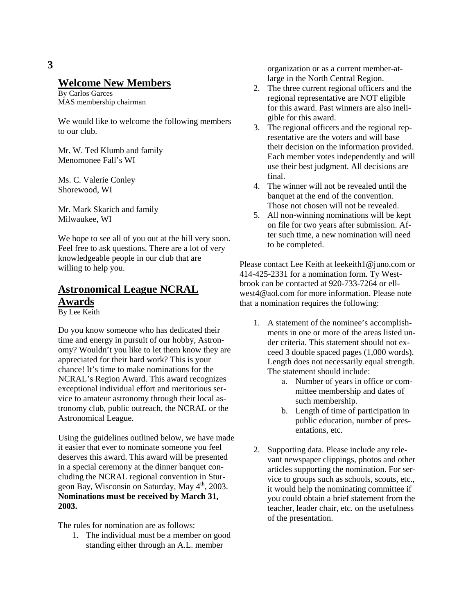# **Welcome New Members**

By Carlos Garces MAS membership chairman

We would like to welcome the following members to our club.

Mr. W. Ted Klumb and family Menomonee Fall's WI

Ms. C. Valerie Conley Shorewood, WI

Mr. Mark Skarich and family Milwaukee, WI

We hope to see all of you out at the hill very soon. Feel free to ask questions. There are a lot of very knowledgeable people in our club that are willing to help you.

# **Astronomical League NCRAL Awards**

By Lee Keith

Do you know someone who has dedicated their time and energy in pursuit of our hobby, Astronomy? Wouldn't you like to let them know they are appreciated for their hard work? This is your chance! It's time to make nominations for the NCRAL's Region Award. This award recognizes exceptional individual effort and meritorious service to amateur astronomy through their local astronomy club, public outreach, the NCRAL or the Astronomical League.

Using the guidelines outlined below, we have made it easier that ever to nominate someone you feel deserves this award. This award will be presented in a special ceremony at the dinner banquet concluding the NCRAL regional convention in Sturgeon Bay, Wisconsin on Saturday, May 4<sup>th</sup>, 2003. **Nominations must be received by March 31, 2003.**

The rules for nomination are as follows:

1. The individual must be a member on good standing either through an A.L. member

organization or as a current member-atlarge in the North Central Region.

- 2. The three current regional officers and the regional representative are NOT eligible for this award. Past winners are also ineligible for this award.
- 3. The regional officers and the regional representative are the voters and will base their decision on the information provided. Each member votes independently and will use their best judgment. All decisions are final.
- 4. The winner will not be revealed until the banquet at the end of the convention. Those not chosen will not be revealed.
- 5. All non-winning nominations will be kept on file for two years after submission. After such time, a new nomination will need to be completed.

Please contact Lee Keith at leekeith1@juno.com or 414-425-2331 for a nomination form. Ty Westbrook can be contacted at 920-733-7264 or ellwest4@aol.com for more information. Please note that a nomination requires the following:

- 1. A statement of the nominee's accomplishments in one or more of the areas listed under criteria. This statement should not exceed 3 double spaced pages (1,000 words). Length does not necessarily equal strength. The statement should include:
	- a. Number of years in office or committee membership and dates of such membership.
	- b. Length of time of participation in public education, number of presentations, etc.
- 2. Supporting data. Please include any relevant newspaper clippings, photos and other articles supporting the nomination. For service to groups such as schools, scouts, etc., it would help the nominating committee if you could obtain a brief statement from the teacher, leader chair, etc. on the usefulness of the presentation.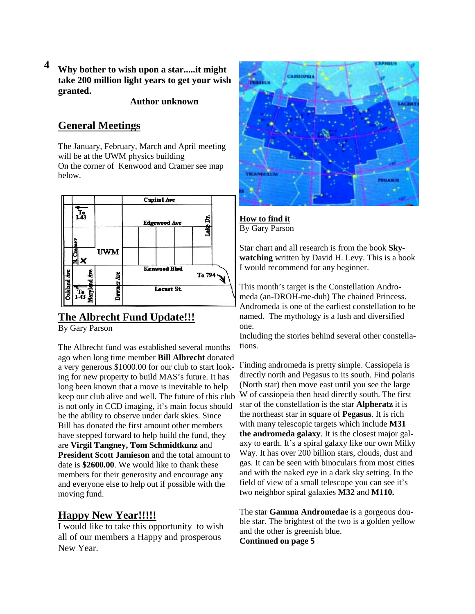**Why bother to wish upon a star.....it might take 200 million light years to get your wish granted. 4** 

 **Author unknown**

# **General Meetings**

The January, February, March and April meeting will be at the UWM physics building On the corner of Kenwood and Cramer see map below.



# **The Albrecht Fund Update!!!**

By Gary Parson

The Albrecht fund was established several months ago when long time member **Bill Albrecht** donated a very generous \$1000.00 for our club to start looking for new property to build MAS's future. It has long been known that a move is inevitable to help keep our club alive and well. The future of this club is not only in CCD imaging, it's main focus should be the ability to observe under dark skies. Since Bill has donated the first amount other members have stepped forward to help build the fund, they are **Virgil Tangney, Tom Schmidtkunz** and **President Scott Jamieson** and the total amount to date is **\$2600.00**. We would like to thank these members for their generosity and encourage any and everyone else to help out if possible with the moving fund.

# **Happy New Year!!!!!**

I would like to take this opportunity to wish all of our members a Happy and prosperous New Year.



**How to find it** By Gary Parson

Star chart and all research is from the book **Skywatching** written by David H. Levy. This is a book I would recommend for any beginner.

This month's target is the Constellation Andromeda (an-DROH-me-duh) The chained Princess. Andromeda is one of the earliest constellation to be named. The mythology is a lush and diversified one.

Including the stories behind several other constellations.

Finding andromeda is pretty simple. Cassiopeia is directly north and Pegasus to its south. Find polaris (North star) then move east until you see the large W of cassiopeia then head directly south. The first star of the constellation is the star **Alpheratz** it is the northeast star in square of **Pegasus**. It is rich with many telescopic targets which include **M31 the andromeda galaxy**. It is the closest major galaxy to earth. It's a spiral galaxy like our own Milky Way. It has over 200 billion stars, clouds, dust and gas. It can be seen with binoculars from most cities and with the naked eye in a dark sky setting. In the field of view of a small telescope you can see it's two neighbor spiral galaxies **M32** and **M110.**

The star **Gamma Andromedae** is a gorgeous double star. The brightest of the two is a golden yellow and the other is greenish blue.

**Continued on page 5**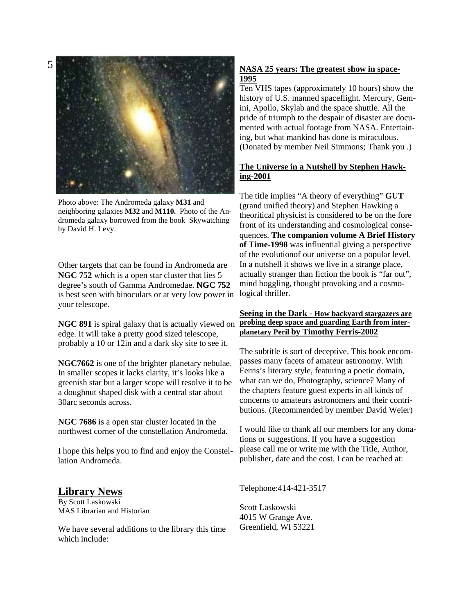5



Photo above: The Andromeda galaxy **M31** and neighboring galaxies **M32** and **M110.** Photo of the Andromeda galaxy borrowed from the book Skywatching by David H. Levy.

Other targets that can be found in Andromeda are **NGC 752** which is a open star cluster that lies 5 degree's south of Gamma Andromedae. **NGC 752**  is best seen with binoculars or at very low power in your telescope.

edge. It will take a pretty good sized telescope, probably a 10 or 12in and a dark sky site to see it.

**NGC7662** is one of the brighter planetary nebulae. In smaller scopes it lacks clarity, it's looks like a greenish star but a larger scope will resolve it to be a doughnut shaped disk with a central star about 30arc seconds across.

**NGC 7686** is a open star cluster located in the northwest corner of the constellation Andromeda.

I hope this helps you to find and enjoy the Constellation Andromeda.

## **Library News**

By Scott Laskowski MAS Librarian and Historian

We have several additions to the library this time which include:

### **NASA 25 years: The greatest show in space-1995**

Ten VHS tapes (approximately 10 hours) show the history of U.S. manned spaceflight. Mercury, Gemini, Apollo, Skylab and the space shuttle. All the pride of triumph to the despair of disaster are documented with actual footage from NASA. Entertaining, but what mankind has done is miraculous. (Donated by member Neil Simmons; Thank you .)

## **The Universe in a Nutshell by Stephen Hawking-2001**

The title implies "A theory of everything" **GUT** (grand unified theory) and Stephen Hawking a theoritical physicist is considered to be on the fore front of its understanding and cosmological consequences. **The companion volume A Brief History of Time-1998** was influential giving a perspective of the evolutionof our universe on a popular level. In a nutshell it shows we live in a strange place, actually stranger than fiction the book is "far out", mind boggling, thought provoking and a cosmological thriller.

#### **NGC 891** is spiral galaxy that is actually viewed on **probing deep space and guarding Earth from inter-Seeing in the Dark - How backyard stargazers are planetary Peril by Timothy Ferris-2002**

The subtitle is sort of deceptive. This book encompasses many facets of amateur astronomy. With Ferris's literary style, featuring a poetic domain, what can we do, Photography, science? Many of the chapters feature guest experts in all kinds of concerns to amateurs astronomers and their contributions. (Recommended by member David Weier)

I would like to thank all our members for any donations or suggestions. If you have a suggestion please call me or write me with the Title, Author, publisher, date and the cost. I can be reached at:

Telephone:414-421-3517

Scott Laskowski 4015 W Grange Ave. Greenfield, WI 53221